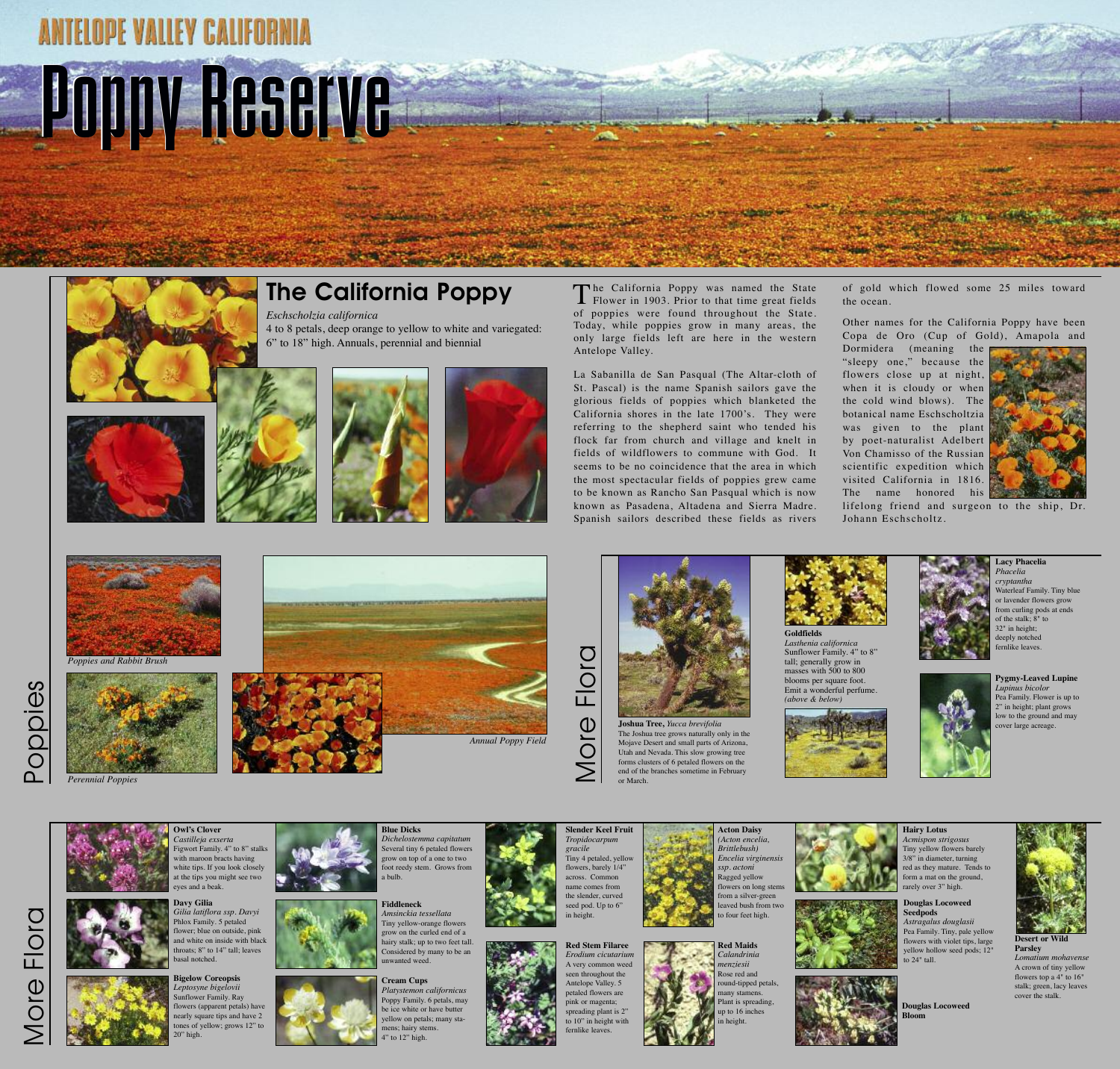o

 $\underline{\mathbb{O}}$ 

 $\frac{\textcircled{\textit{r}}}{\text{c}}$ 

 $\overline{\text{O}}$ 

o  $\overline{\phantom{0}}$  $\bigcirc$ 

 $\frac{\textcircled{\textit{r}}}{\text{c}}$ 

 $\overline{\phantom{0}}$  $\mathbf O$ 

 $\frac{\Theta}{\Omega}$ 

ဟ



### **The California Poppy**

*Eschscholzia californica* 4 to 8 petals, deep orange to yellow to white and variegated: 6" to 18" high. Annuals, perennial and biennial





The California Poppy was named the State<br>Flower in 1903. Prior to that time great fields of poppies were found throughout the State. Today, while poppies grow in many areas, the only large fields left are here in the western Antelope Valley.

La Sabanilla de San Pasqual (The Altar-cloth of St. Pascal) is the name Spanish sailors gave the glorious fields of poppies which blanketed the California shores in the late 1700's. They were referring to the shepherd saint who tended his flock far from church and village and knelt in fields of wildflowers to commune with God. It seems to be no coincidence that the area in which the most spectacular fields of poppies grew came to be known as Rancho San Pasqual which is now known as Pasadena, Altadena and Sierra Madre. Spanish sailors described these fields as rivers





of gold which flowed some 25 miles toward the ocean.

Other names for the California Poppy have been Copa de Oro (Cup of Gold), Amapola and

Dormidera (meaning the "sleepy one," because the flowers close up at night, when it is cloudy or when the cold wind blows). The botanical name Eschscholtzia was given to the plant by poet-naturalist Adelbert Von Chamisso of the Russian scientific expedition which visited California in 1816. The name honored his



lifelong friend and surgeon to the ship, Dr. Johann Eschscholtz.

*Poppies and Rabbit Brush*



*Perennial Poppies*

 $\mathsf{\Omega}\,$ o $\overline{\Omega}$ 

 $\sum$ 

**Owl's Clover** *Castilleja exserta*

Figwort Family. 4" to 8" stalks with maroon bracts having white tips. If you look closely at the tips you might see two

eyes and a beak.



**Bigelow Coreopsis** *Leptosyne bigelovii* Sunflower Family. Ray flowers (apparent petals) have nearly square tips and have 2 tones of yellow; grows 12" to 20" high.







Several tiny 6 petaled flowers

# **ANTELOPE VALLEY CALIFORNIA PoppyReserve**



**Slender Keel Fruit** *Tropidocarpum gracile* Tiny 4 petaled, yellow flowers, barely 1/4" across. Common name comes from the slender, curved seed pod. Up to 6" in height.



**Acton Daisy** *(Acton encelia, Brittlebush) Encelia virginensis ssp. actoni* Ragged yellow flowers on long stems from a silver-green leaved bush from two to four feet high.

grow on top of a one to two foot reedy stem. Grows from a bulb. **Fiddleneck** *Amsinckia tessellata*

**Red Maids**





**Lacy Phacelia** *Phacelia cryptantha* Waterleaf Family. Tiny blu or lavender flowers grow from curling pods at ends of the stalk; 8" to 32" in height; deeply notched fernlike leaves.

**Pygmy-Leaved Lupine** *Lupinus bicolor* Pea Family. Flower is up to 2" in height; plant grows low to the ground and may cover large acreage.







**Cream Cups** *Platystemon californicus* Poppy Family. 6 petals, may be ice white or have butter yellow on petals; many stamens; hairy stems. 4" to 12" high.



**Hairy Lotus** *Acmispon strigosus*

Tiny yellow flowers barely 3/8" in diameter, turning red as they mature. Tends to form a mat on the ground, rarely over 3" high.



**Parsley** *Lomatium mohavense* A crown of tiny yellow flowers top a 4" to 16" stalk; green, lacy leaves cover the stalk.







or March.

 $\sum$ 

**Goldfields**





*Lasthenia californica* Sunflower Family. 4" to 8" Emit a wonderful perfume.







**Douglas Locoweed Bloom**

**Douglas Locoweed Seedpods** *Astragalus douglasii*

Pea Family. Tiny, pale yellow flowers with violet tips, large yellow hollow seed pods; 12" to 24" tall.

*Annual Poppy Field*